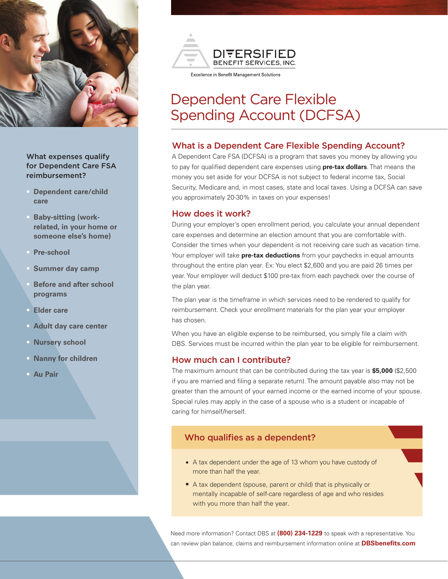

#### What expenses qualify for Dependent Care FSA reimbursement?

- **Dependent care/child care**
- **Baby-sitting (workrelated, in your home or someone else's home)**
- **Pre-school**
- **Summer day camp**
- **Before and after school programs**
- **Elder care**
- **Adult day care center**
- **Nursery school**
- **Nanny for children**
- **Au Pair**



#### Excellence in Benefit Management Solutions

# Dependent Care Flexible Spending Account (DCFSA)

#### What is a Dependent Care Flexible Spending Account?

A Dependent Care FSA (DCFSA) is a program that saves you money by allowing you to pay for qualified dependent care expenses using **pre-tax dollars**. That means the money you set aside for your DCFSA is not subject to federal income tax, Social Security, Medicare and, in most cases, state and local taxes. Using a DCFSA can save you approximately 20-30% in taxes on your expenses!

#### How does it work?

During your employer's open enrollment period, you calculate your annual dependent care expenses and determine an election amount that you are comfortable with. Consider the times when your dependent is not receiving care such as vacation time. Your employer will take **pre-tax deductions** from your paychecks in equal amounts throughout the entire plan year. Ex: You elect \$2,600 and you are paid 26 times per year. Your employer will deduct \$100 pre-tax from each paycheck over the course of the plan year.

The plan year is the timeframe in which services need to be rendered to qualify for reimbursement. Check your enrollment materials for the plan year your employer has chosen.

When you have an eligible expense to be reimbursed, you simply file a claim with DBS. Services must be incurred within the plan year to be eligible for reimbursement.

#### How much can I contribute?

The maximum amount that can be contributed during the tax year is **\$5,000** (\$2,500 if you are married and filing a separate return). The amount payable also may not be greater than the amount of your earned income or the earned income of your spouse. Special rules may apply in the case of a spouse who is a student or incapable of caring for himself/herself.

#### Who qualifies as a dependent?

- A tax dependent under the age of 13 whom you have custody of more than half the year.
- A tax dependent (spouse, parent or child) that is physically or mentally incapable of self-care regardless of age and who resides with you more than half the year.

Need more information? Contact DBS at **(800) 234-1229** to speak with a representative. You can review plan balance, claims and reimbursement information online at **DBSbenefits.com**